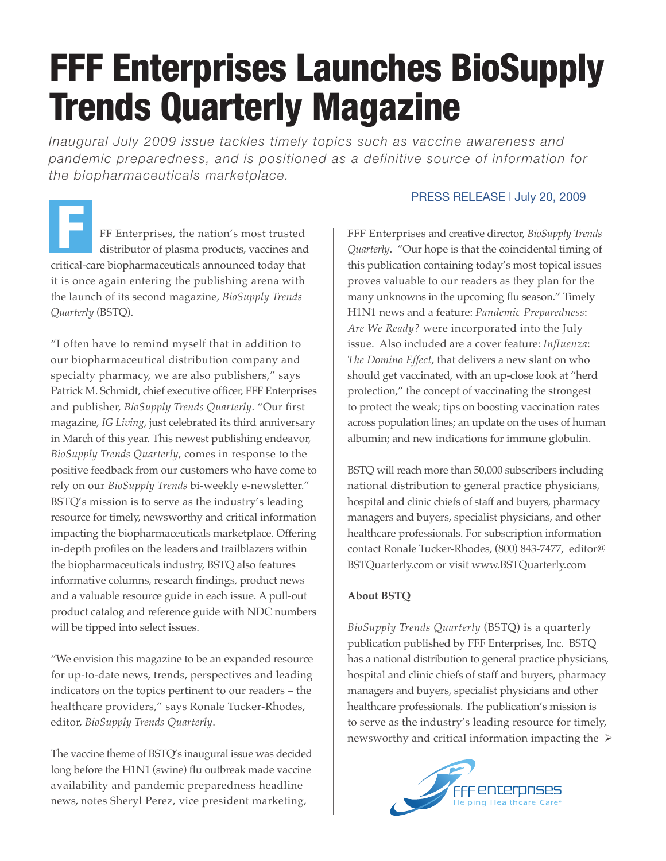## FFF Enterprises Launches BioSupply Trends Quarterly Magazine

*Inaugural July 2009 issue tackles timely topics such as vaccine awareness and pandemic preparedness, and is positioned as a definitive source of information for the biopharmaceuticals marketplace.*

FF Enterprises, the nation's most trusted distributor of plasma products, vaccines and critical-care biopharmaceuticals announced today that it is once again entering the publishing arena with the launch of its second magazine, *BioSupply Trends Quarterly* (BSTQ). F

"I often have to remind myself that in addition to our biopharmaceutical distribution company and specialty pharmacy, we are also publishers," says Patrick M. Schmidt, chief executive officer, FFF Enterprises and publisher, *BioSupply Trends Quarterly*. "Our first magazine, *IG Living*, just celebrated its third anniversary in March of this year. This newest publishing endeavor, *BioSupply Trends Quarterly*, comes in response to the positive feedback from our customers who have come to rely on our *BioSupply Trends* bi-weekly e-newsletter." BSTQ's mission is to serve as the industry's leading resource for timely, newsworthy and critical information impacting the biopharmaceuticals marketplace. Offering in-depth profiles on the leaders and trailblazers within the biopharmaceuticals industry, BSTQ also features informative columns, research findings, product news and a valuable resource guide in each issue. A pull-out product catalog and reference guide with NDC numbers will be tipped into select issues.

"We envision this magazine to be an expanded resource for up-to-date news, trends, perspectives and leading indicators on the topics pertinent to our readers – the healthcare providers," says Ronale Tucker-Rhodes, editor, *BioSupply Trends Quarterly*.

The vaccine theme of BSTQ's inaugural issue was decided long before the H1N1 (swine) flu outbreak made vaccine availability and pandemic preparedness headline news, notes Sheryl Perez, vice president marketing,

## PRESS RELEASE | July 20, 2009

FFF Enterprises and creative director, *BioSupply Trends Quarterly*. "Our hope is that the coincidental timing of this publication containing today's most topical issues proves valuable to our readers as they plan for the many unknowns in the upcoming flu season." Timely H1N1 news and a feature: *Pandemic Preparedness*: *Are We Ready?* were incorporated into the July issue. Also included are a cover feature: *Influenza*: *The Domino Effect*, that delivers a new slant on who should get vaccinated, with an up-close look at "herd protection," the concept of vaccinating the strongest to protect the weak; tips on boosting vaccination rates across population lines; an update on the uses of human albumin; and new indications for immune globulin.

BSTQ will reach more than 50,000 subscribers including national distribution to general practice physicians, hospital and clinic chiefs of staff and buyers, pharmacy managers and buyers, specialist physicians, and other healthcare professionals. For subscription information contact Ronale Tucker-Rhodes, (800) 843-7477, editor@ BSTQuarterly.com or visit www.BSTQuarterly.com

## **About BSTQ**

*BioSupply Trends Quarterly* (BSTQ) is a quarterly publication published by FFF Enterprises, Inc. BSTQ has a national distribution to general practice physicians, hospital and clinic chiefs of staff and buyers, pharmacy managers and buyers, specialist physicians and other healthcare professionals. The publication's mission is to serve as the industry's leading resource for timely, newsworthy and critical information impacting the  $\triangleright$